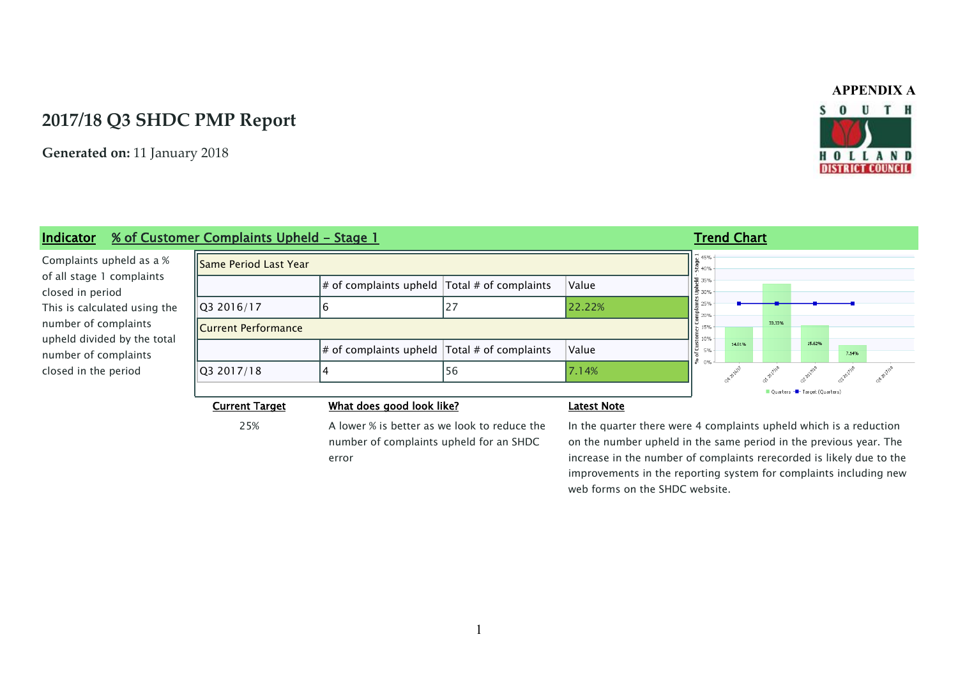# SOUTH HOLLANI **DISTRICT COUNCIL**

**APPENDIX A**

# **2017/18 Q3 SHDC PMP Report**

**Generated on:** 11 January 2018



25% A lower % is better as we look to reduce the number of complaints upheld for an SHDC error

In the quarter there were 4 complaints upheld which is a reduction on the number upheld in the same period in the previous year. The increase in the number of complaints rerecorded is likely due to the improvements in the reporting system for complaints including new web forms on the SHDC website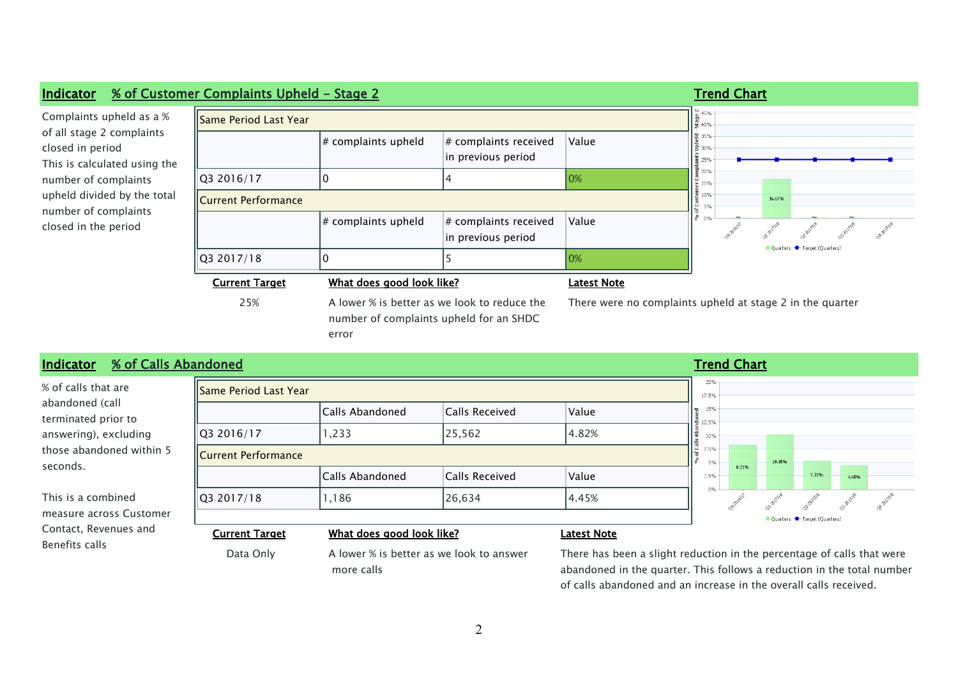



Data Only **A** lower % is better as we look to answer more calls

There has been a slight reduction in the percentage of calls that were abandoned in the quarter. This follows a reduction in the total number of calls abandoned and an increase in the overall calls received.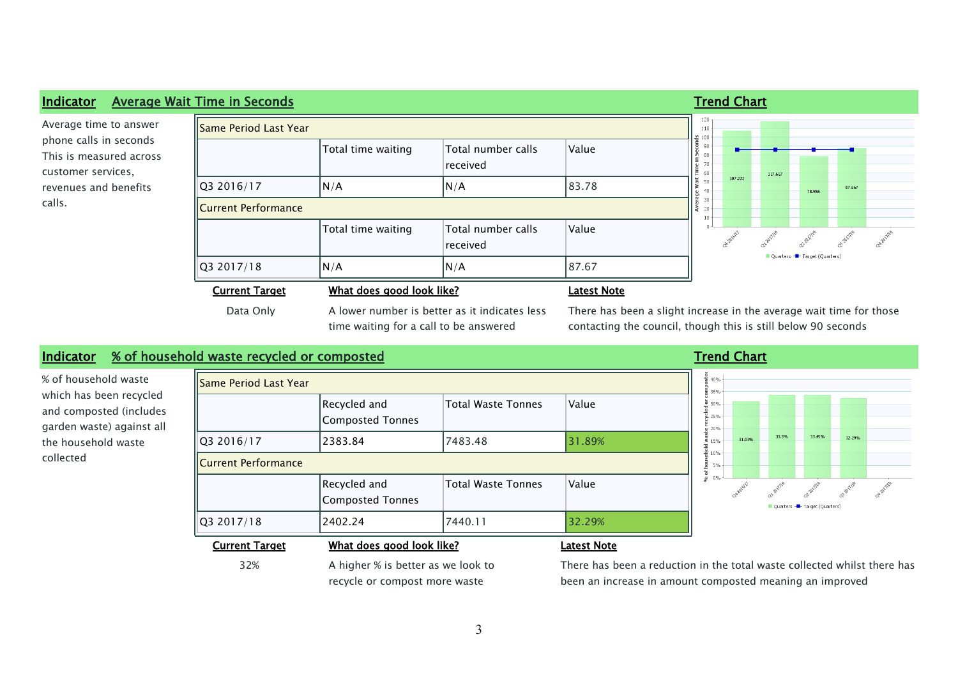| Indicator                                                               | <b>Average Wait Time in Seconds</b> |                                                                                         |                                |                                                                                                                                      | <b>Trend Chart</b>                                  |         |                              |        |  |
|-------------------------------------------------------------------------|-------------------------------------|-----------------------------------------------------------------------------------------|--------------------------------|--------------------------------------------------------------------------------------------------------------------------------------|-----------------------------------------------------|---------|------------------------------|--------|--|
| Average time to answer                                                  | Same Period Last Year               |                                                                                         |                                |                                                                                                                                      |                                                     |         |                              |        |  |
| phone calls in seconds<br>This is measured across<br>customer services, |                                     | Total time waiting                                                                      | Total number calls<br>received | Value                                                                                                                                | 음 100<br>90<br>$\underline{\mathbb{U}}$<br>Ě.<br>60 | 117.667 |                              |        |  |
| revenues and benefits                                                   | Q3 2016/17                          | N/A                                                                                     | N/A                            | 83.78                                                                                                                                | 107.222<br>50                                       |         | 78.556                       | 87.667 |  |
| calls.                                                                  | <b>Current Performance</b>          |                                                                                         |                                |                                                                                                                                      | $20^{\circ}$                                        |         |                              |        |  |
|                                                                         |                                     | Total time waiting                                                                      | Total number calls<br>received | Value                                                                                                                                |                                                     |         |                              |        |  |
|                                                                         | Q3 2017/18                          | N/A                                                                                     | N/A                            | 87.67                                                                                                                                |                                                     |         | Quarters - Target (Quarters) |        |  |
|                                                                         | <b>Current Target</b>               | What does good look like?                                                               |                                | <b>Latest Note</b>                                                                                                                   |                                                     |         |                              |        |  |
|                                                                         | Data Only                           | A lower number is better as it indicates less<br>time waiting for a call to be answered |                                | There has been a slight increase in the average wait time for those<br>contacting the council, though this is still below 90 seconds |                                                     |         |                              |        |  |

## **Indicator** *%* **of household waste recycled or composted <b>Trend Chart Trend Chart**

% of household waste which has been recycled and composted (includes garden waste) against all the household waste collected

| <b>Current Target</b>   | What does good look like?               |                           | Latest Note |  |  |  |  |  |  |  |
|-------------------------|-----------------------------------------|---------------------------|-------------|--|--|--|--|--|--|--|
| Q3 2017/18              | 2402.24                                 | 7440.11                   | 32.29%      |  |  |  |  |  |  |  |
|                         | Recycled and<br><b>Composted Tonnes</b> | <b>Total Waste Tonnes</b> | Value       |  |  |  |  |  |  |  |
| Current Performance     |                                         |                           |             |  |  |  |  |  |  |  |
| Q3 2016/17              | 2383.84                                 | 7483.48                   | 31.89%      |  |  |  |  |  |  |  |
|                         | Recycled and<br><b>Composted Tonnes</b> | <b>Total Waste Tonnes</b> | Value       |  |  |  |  |  |  |  |
| llSame Period Last Year |                                         |                           |             |  |  |  |  |  |  |  |

 $\frac{6}{9}$  40% ┋ 35%  $530%$ 및 25% 20% 33.45% 32.29% 33.5% 31.03% ട് 15% 10% 5% ి<br>శి<sup>0%</sup>

ca-zatilte Quarters - Target (Quarters)

co-eizhe

ch zoillis

Q1-BITHS

32% A higher % is better as we look to recycle or compost more waste

There has been a reduction in the total waste collected whilst there has been an increase in amount composted meaning an improved

Calgaren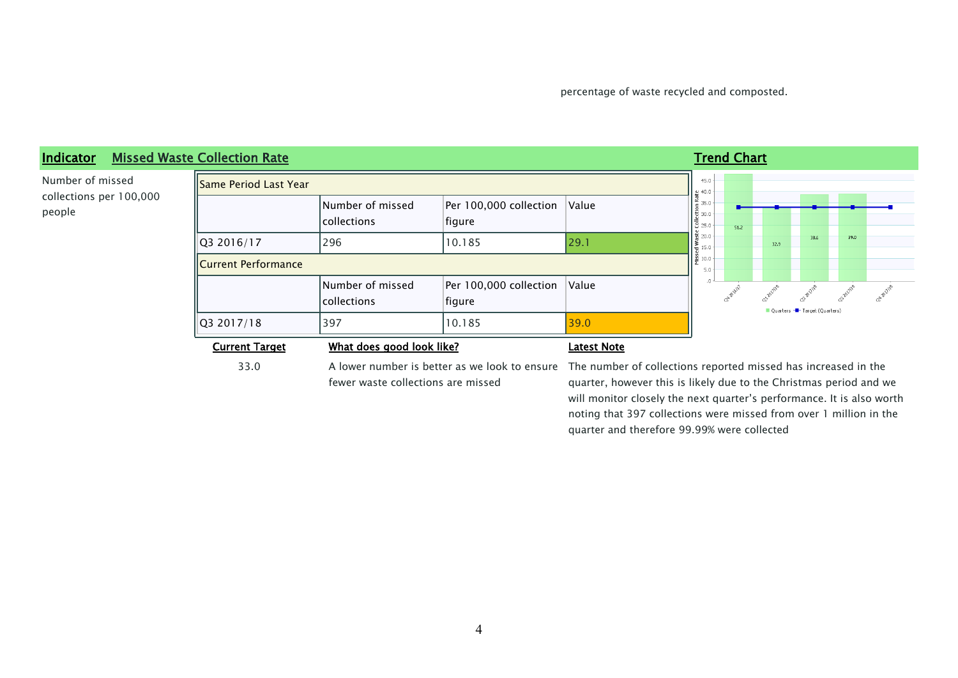### **Indicator Missed Waste Collection Rate Trend Chart Trend Chart Trend Chart Trend Chart**  $45.0$ Number of missed Same Period Last Year  $\frac{10}{2}$  40.0 collections per 100,000  $d = 35.0$ <br>Collection Rat<br>Collection Per 100,000 collection Number of missed Value collections figure  $51.2$  $\frac{9}{8}$  20.0 38.6 Q3 2016/17 296 10.185 29.1  $\sum_{5}^{8}$  15.0  $32.9$  $\frac{8}{2}$  10.0 Current Performance  $5.0$ Number of missed Per 100,000 collection Value Q1-2017 collections figure Ouarters - Target (Quarters)  $\sqrt{Q3\ 2017/18}$   $\sqrt{397}$   $\sqrt{10.185}$   $\sqrt{39.0}$ **Current Target What does good look like? Latest Note**

people

fewer waste collections are missed

33.0 A lower number is better as we look to ensure The number of collections reported missed has increased in the quarter, however this is likely due to the Christmas period and we will monitor closely the next quarter's performance. It is also worth noting that 397 collections were missed from over 1 million in the quarter and therefore 99.99% were collected

39.0

Q4 AVIIIB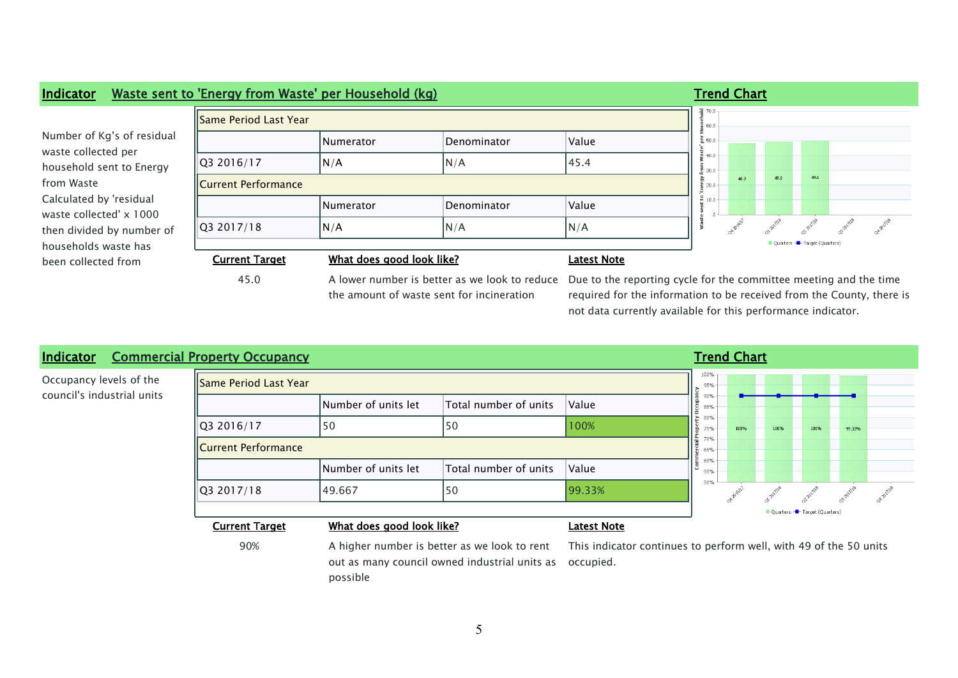



90% A higher number is better as we look to rent out as many council owned industrial units as possible

This indicator continues to perform well, with 49 of the 50 units occupied.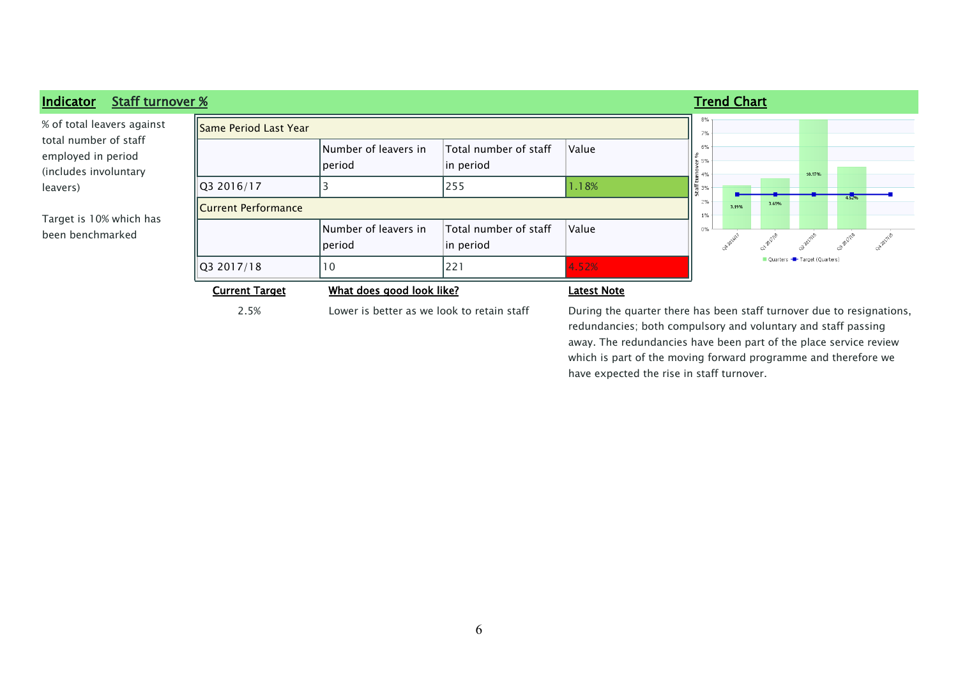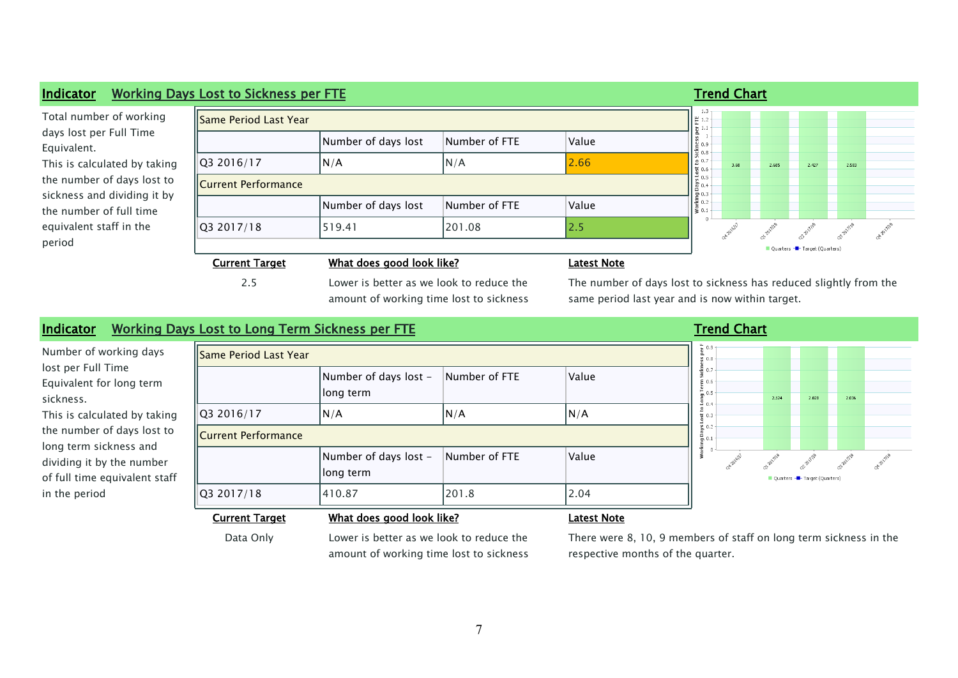### **Indicator Working Days Lost to Sickness per FTE Trend Chart Trend Chart Trend Chart** Total number of working Same Period Last Year |≝ 1.2  $T = 1.1$ <br> $T = 1.1$ <br> $T = 1.1$ days lost per Full Time  $\vert$ Number of days lost  $\vert$  Number of FTE  $\vert$  Value Equivalent.  $\frac{5}{20}$  0.8  $\overline{Q}$ 3 2016/17  $\overline{N/A}$   $\overline{N/A}$   $\overline{Q}$  56 This is calculated by taking 3.68  $2.427$ 2.583 2.685  $\frac{1}{8}$  0.6 Morking Days Los the number of days lost to Current Performance sickness and dividing it by Number of days lost  $\blacksquare$  Number of FTE  $\blacksquare$  Value the number of full time ch<sup>-phills</sup> equivalent staff in the Q3 2017/18 519.41 201.08 2.5 period Quarters - The Target (Quarters) **Current Target What does good look like? Latest Note**

2.5 Lower is better as we look to reduce the amount of working time lost to sickness The number of days lost to sickness has reduced slightly from the same period last year and is now within target.



Data Only Lower is better as we look to reduce the amount of working time lost to sickness There were 8, 10, 9 members of staff on long term sickness in the respective months of the quarter.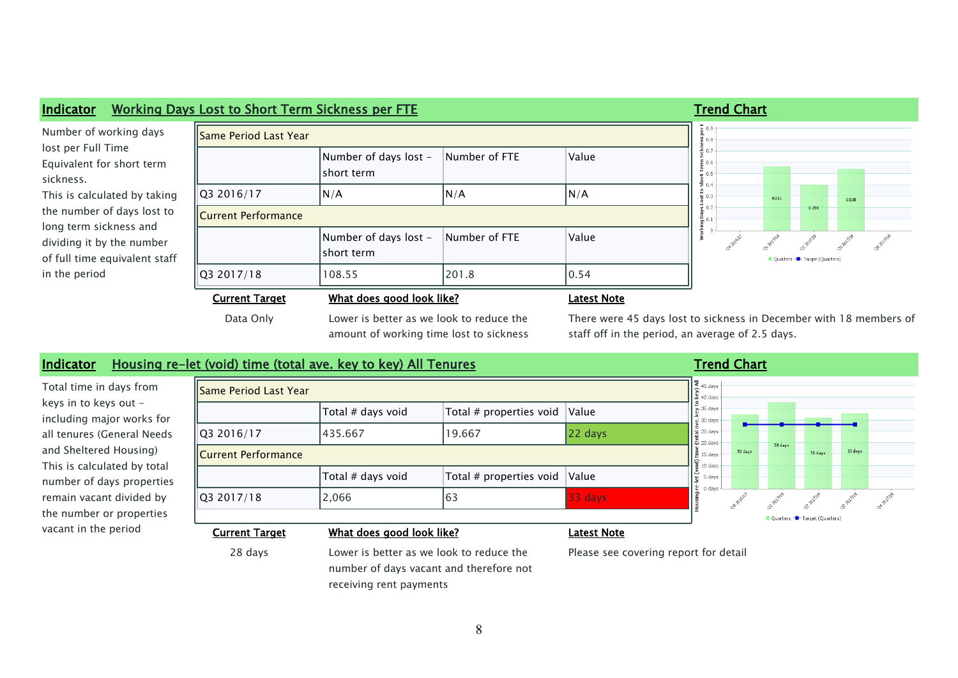

## **Indicator Housing re-let (void) time (total ave. key to key) All Tenures Trand Chart Trend Chart**

Total time in days from keys in to keys out including major works for all tenures (General Needs and Sheltered Housing) This is calculated by total number of days properties remain vacant divided by the number or properties vacant in the period

| <b>Same Period Last Year</b> |                                          |                         |                                       | $\sqrt{\frac{2}{x}}$ 45 days                             |         |         |                              |         |  |  |
|------------------------------|------------------------------------------|-------------------------|---------------------------------------|----------------------------------------------------------|---------|---------|------------------------------|---------|--|--|
|                              | Total # days void                        | Total # properties void | Value                                 | $\frac{1}{6}$ 35 days<br>30 days                         |         |         |                              |         |  |  |
| Q3 2016/17                   | 435.667                                  | 19.667                  | $ 22 \text{ days} $                   | $\frac{1}{16}$ 25 days<br>$\mathcal{Z}_{\text{20 days}}$ |         |         |                              |         |  |  |
| <b>I</b> Current Performance |                                          |                         |                                       | $\frac{5}{2}$ 15 days<br>$\frac{1}{8}$ 10 days           | 32 days | 38 days | 31 days                      | 33 days |  |  |
|                              | Total # days void                        | Total # properties void | Value                                 | ا چي<br>پيد<br>5 days                                    |         |         |                              |         |  |  |
| Q3 2017/18                   | 2,066                                    | 63                      | 33 days                               | ing re<br>0 days                                         |         |         |                              |         |  |  |
|                              |                                          |                         |                                       |                                                          |         |         | Quarters - Target (Quarters) |         |  |  |
| <b>Current Target</b>        | What does good look like?                |                         | <b>Latest Note</b>                    |                                                          |         |         |                              |         |  |  |
| 28 days                      | Lower is better as we look to reduce the |                         | Please see covering report for detail |                                                          |         |         |                              |         |  |  |

28 days Lower is better as we look to reduce the number of days vacant and therefore not receiving rent payments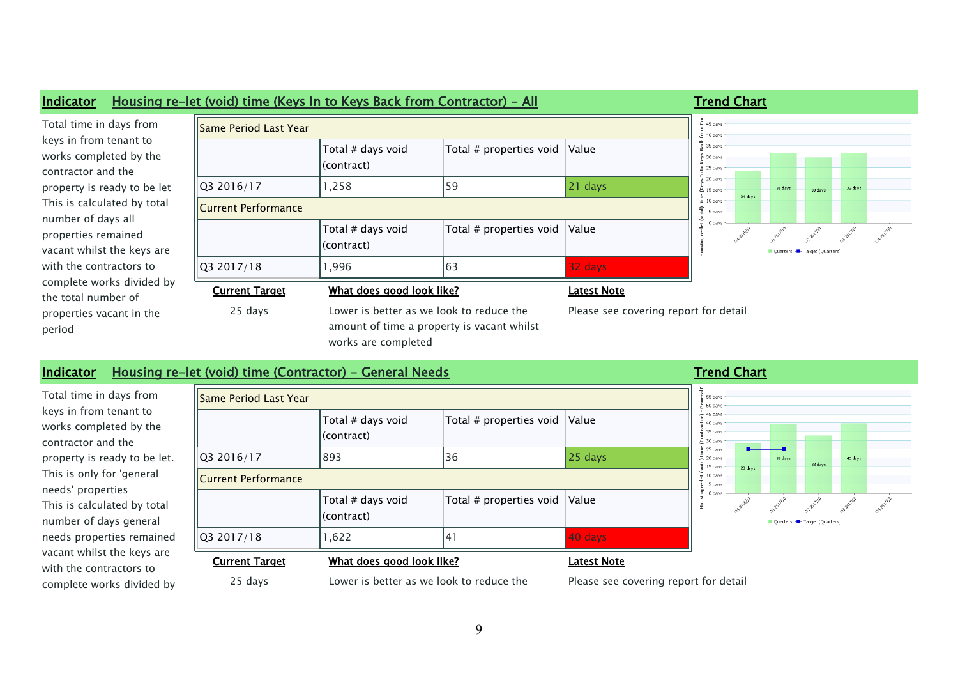

## **Indicator Housing re-let (void) time (Contractor) - General Needs Trand Chart Trend Chart**

| Total time in days from                                                | Same Period Last Year                               |                                 |                                       |                    | $\overline{a}$ 55 days<br>뽑 50 days                                             |  |
|------------------------------------------------------------------------|-----------------------------------------------------|---------------------------------|---------------------------------------|--------------------|---------------------------------------------------------------------------------|--|
| keys in from tenant to<br>works completed by the<br>contractor and the |                                                     | Total # days void<br>(contract) | Total # properties void               | Value              | $-45$ days<br>40 days<br>효 35 days<br>$\mathcal{Q}$ 30 days                     |  |
| property is ready to be let.                                           | Q3 2016/17                                          | 893                             | 36                                    | $ 25$ days         | $25 \text{ days}$<br>$\geq$ 20 days<br>$\frac{1}{2}$ 15 days<br>28 <sub>0</sub> |  |
| This is only for 'general<br>needs' properties                         | <b>Current Performance</b>                          |                                 |                                       |                    |                                                                                 |  |
| This is calculated by total<br>number of days general                  |                                                     | Total # days void<br>(contract) | Total # properties void               | Value              | 0 days                                                                          |  |
| needs properties remained                                              | Q3 2017/18                                          | 1,622                           | 41                                    | 40 days            |                                                                                 |  |
| vacant whilst the keys are<br>with the contractors to                  | <b>Current Target</b>                               | What does good look like?       |                                       | <b>Latest Note</b> |                                                                                 |  |
| complete works divided by                                              | Lower is better as we look to reduce the<br>25 days |                                 | Please see covering report for detail |                    |                                                                                 |  |



### 9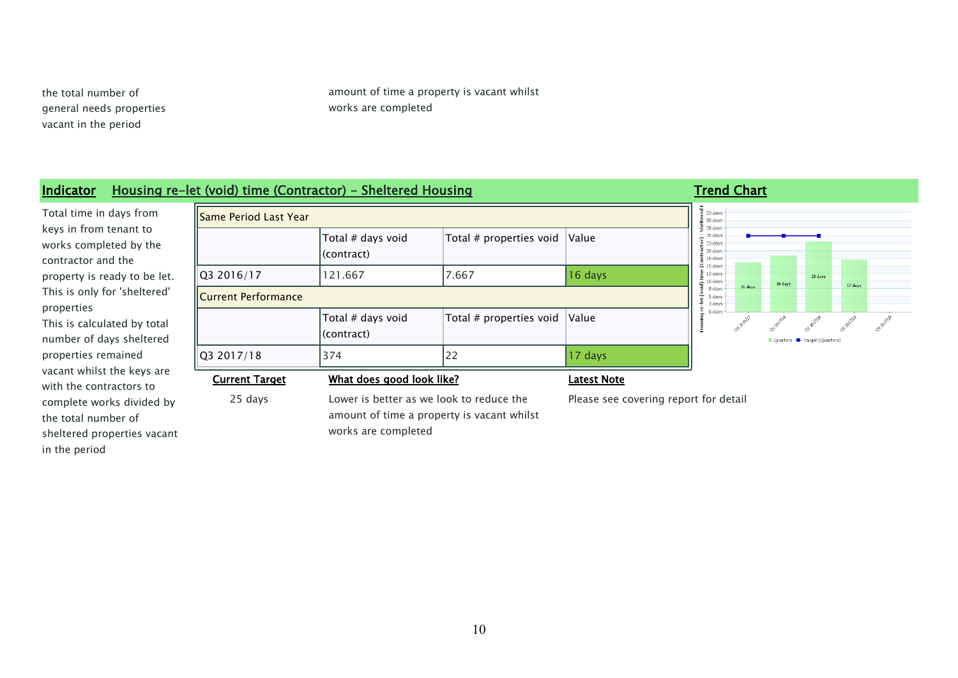the total number of general needs properties vacant in the period

amount of time a property is vacant whilst works are completed

## **Indicator Housing re-let (void) time (Contractor) - Sheltered Housing <b>Trand Chart Trend Chart**

Total time in days from keys in from tenant to works completed by the contractor and the property is ready to be let. This is only for 'sheltered' properties This is calculated by total number of days sheltered properties remained vacant whilst the keys are with the contractors to complete works divided by the total number of sheltered properties vacant in the period

| Same Period Last Year! |                                 |                                         |                     | $\overline{\phi}$ 33 days<br>$\frac{y}{2}$ 30 days                                                           |         |         |                              |                   |
|------------------------|---------------------------------|-----------------------------------------|---------------------|--------------------------------------------------------------------------------------------------------------|---------|---------|------------------------------|-------------------|
|                        | Total # days void<br>(contract) | Total # properties void $\sqrt{}$ Value |                     | $\frac{2}{5}$ 28 days<br>25 days<br>$\frac{2}{5}$ 23 days<br>$\frac{3}{5}$ 20 days<br>$\overline{5}$ 18 days |         |         |                              |                   |
| Q3 2016/17             | 121.667                         | 7.667                                   | $ 16 \text{ days} $ | $9$ 15 days<br>$\frac{2}{3}$ 13 days<br>$\leq$ 10 days                                                       |         | 18 days | 23 days                      | 17 di             |
| Current Performance    |                                 |                                         |                     | 8 days<br>5 days<br>3 days                                                                                   | 16 days |         |                              |                   |
|                        | Total # days void<br>(contract) | Total # properties void $\vert$ Value   |                     | 0 days                                                                                                       |         |         |                              | <b>Q2 2017/18</b> |
| Q3 2017/18             | 374                             | 22                                      | 17 days             |                                                                                                              |         |         | Quarters - Target (Quarters) |                   |
| <b>Current Target</b>  | What does good look like?       |                                         | <b>Latest Note</b>  |                                                                                                              |         |         |                              |                   |

25 days Lower is better as we look to reduce the amount of time a property is vacant whilst works are completed

Please see covering report for detail

ona pulle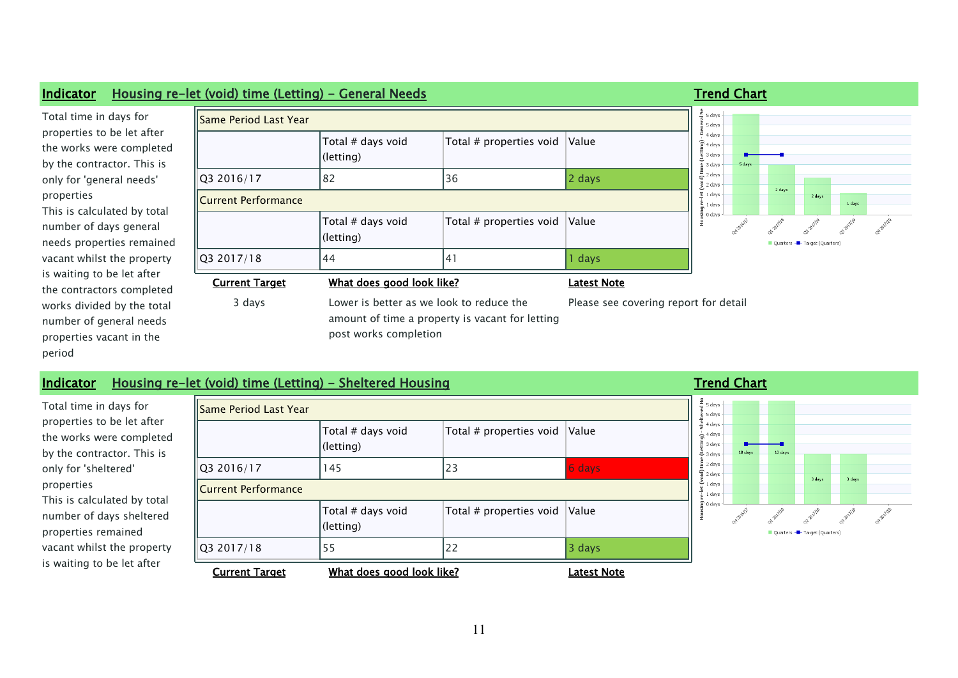

# **Indicator Housing re-let (void) time (Letting) - Sheltered Housing <b>Trend Chart Trend Chart**

| Total time in days for      |
|-----------------------------|
| properties to be let after  |
| the works were completed    |
| by the contractor. This is  |
| only for 'sheltered'        |
| properties                  |
| This is calculated by total |
| pumbar af dove chaltered    |

number of days sheltered properties remained vacant whilst the property is waiting to be let after

|                       | e-let (volg) time (Letting) – Sneitered Housing |                         |                    |                                                                          | Trend Chart |         |                              |        |
|-----------------------|-------------------------------------------------|-------------------------|--------------------|--------------------------------------------------------------------------|-------------|---------|------------------------------|--------|
| Same Period Last Year |                                                 |                         |                    | $\frac{2}{9}$ 5 days<br>$5$ 5 days                                       |             |         |                              |        |
|                       | Total # days void<br>(letting)                  | Total # properties void | Value              | $\frac{9}{5}$ 4 days<br>$\frac{1}{\Box}$ 4 days<br>튭 3 days<br>$-3$ days | 18 days     | 10 days |                              |        |
| Q3 2016/17            | 145                                             | 23                      | 6 days             | $\frac{5}{12}$ 2 days<br>$\frac{1}{8}$ 2 days                            |             |         | 3 days                       |        |
| Current Performance   |                                                 |                         |                    |                                                                          |             |         |                              | 3 days |
|                       | Total # days void<br>(letting)                  | Total # properties void | Value              | $\Xi$ 0 days                                                             |             |         | Quarters - Target (Quarters) |        |
| Q3 2017/18            | 55                                              | 22                      | 3 days             |                                                                          |             |         |                              |        |
| <b>Current Target</b> | What does good look like?                       |                         | <b>Latest Note</b> |                                                                          |             |         |                              |        |

chaptite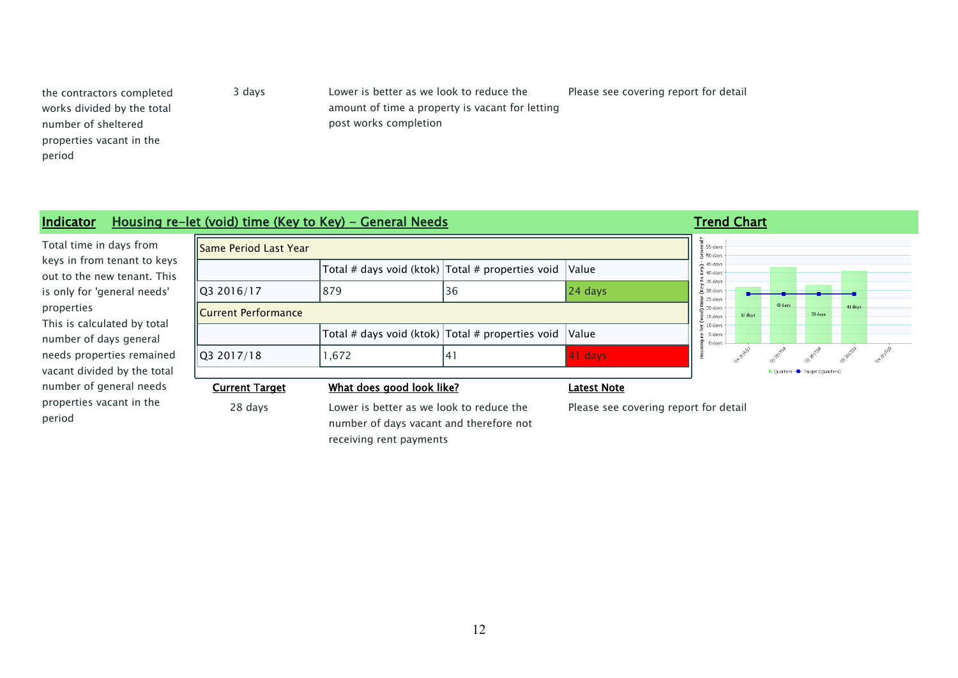the contractors completed works divided by the total number of sheltered properties vacant in the period

3 days Lower is better as we look to reduce the amount of time a property is vacant for letting post works completion Please see covering report for detail

## **Indicator Housing re-let (void) time (Key to Key) - General Needs Trand Chart Trend Chart**

Total time in days from keys in from tenant to keys out to the new tenant. This is only for 'general needs' properties This is calculated by total number of days general

needs properties remained vacant divided by the total number of general needs properties vacant in the period

| What does good look like?<br><b>Current Target</b><br>Latest Note |                                                          |    |         |  |  |  |  |
|-------------------------------------------------------------------|----------------------------------------------------------|----|---------|--|--|--|--|
| Q3 2017/18                                                        | 1,672                                                    | 41 | 41 days |  |  |  |  |
|                                                                   | Total # days void (ktok) $\vert$ Total # properties void |    | Value   |  |  |  |  |
| <b>I</b> Current Performance                                      |                                                          |    |         |  |  |  |  |
| Q3 2016/17                                                        | 879                                                      | 36 | 24 days |  |  |  |  |
|                                                                   | Total # days void (ktok) $ Total #$ properties void      |    | Value   |  |  |  |  |
| llSame Period Last Year                                           |                                                          |    |         |  |  |  |  |

### s<br> days 0 days 5 davs .<br>O davs s<br> davs .<br>O davs ×. 5 days 43 days 41 days .<br>O davs 32 days 33 days 5 days 0 days 5 days .<br>O dav: Ch Breit? a<sup>h pille</sup> Ouarters - Target (Quarters)

28 days Lower is better as we look to reduce the number of days vacant and therefore not receiving rent payments

Please see covering report for detail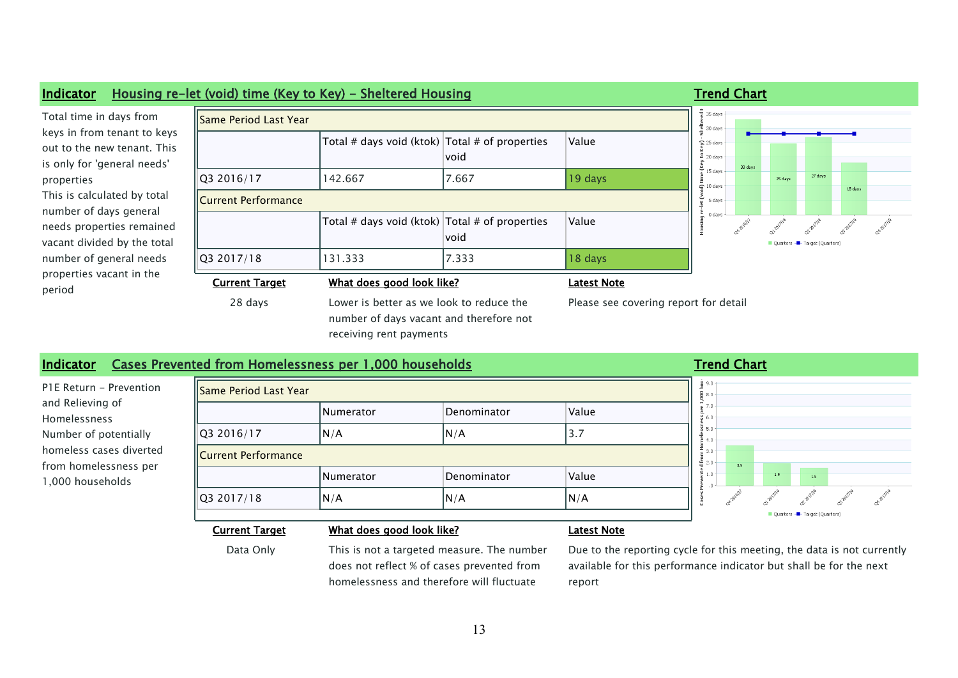

## **Indicator Cases Prevented from Homelessness per 1,000 households Trend Chart Trend Chart**

P1E Return - Prevention and Relieving of Homelessness Number of potentially homeless cases diverted from homelessness per 1,000 households

| Same Period Last Year      |           |             |             | 흠 9.0                        |
|----------------------------|-----------|-------------|-------------|------------------------------|
|                            |           |             |             | 8.0                          |
|                            | Numerator | Denominator | Value       | 26.0<br>45.0                 |
| Q3 2016/17                 | N/A       | N/A         | <u>'3.,</u> | $\geq 4.0$                   |
| <b>Current Performance</b> |           |             |             | $= 3.0$<br>혼 2.0<br>3.5      |
|                            | Numerator | Denominator | Value       | ≅ 1.0<br>1.5                 |
| Q3 2017/18                 | N/A       | N/A         | N/A         |                              |
|                            |           |             |             | Quarters - Target (Quarters) |

### **Current Target What does good look like? Latest Note**

Data Only This is not a targeted measure. The number does not reflect % of cases prevented from homelessness and therefore will fluctuate

Due to the reporting cycle for this meeting, the data is not currently available for this performance indicator but shall be for the next report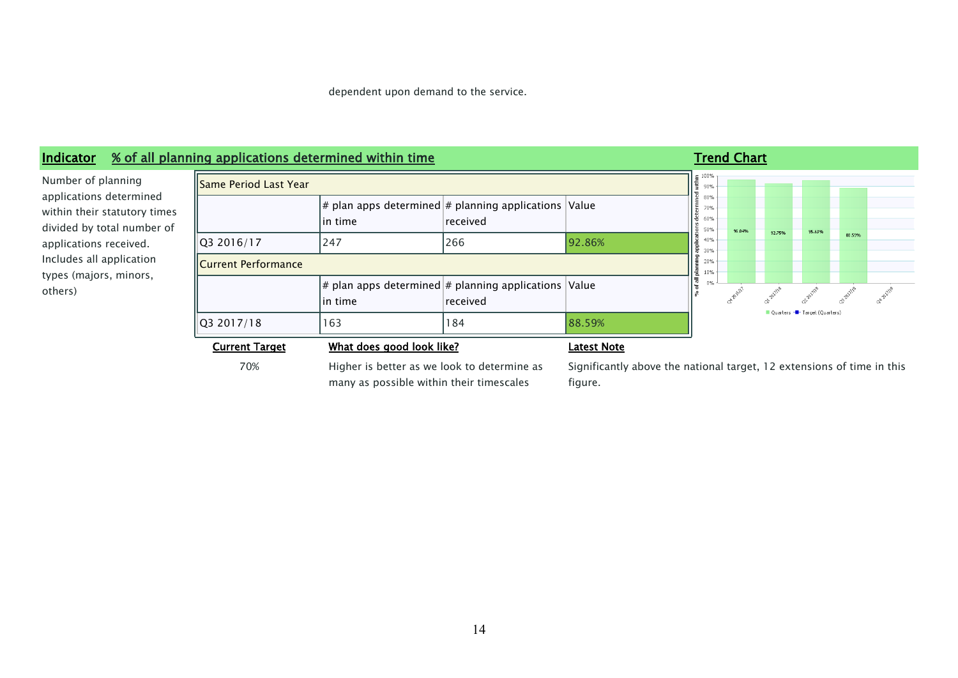dependent upon demand to the service.

# **Indicator % of all pla**

Number of planning applications determined within their statutory times divided by total number of applications received. Includes all application types (majors, minors, others)

| nning applications determined within time |                                                                              |          |                    |          |                          | <b>Trend Chart</b> |        |                              |        |  |
|-------------------------------------------|------------------------------------------------------------------------------|----------|--------------------|----------|--------------------------|--------------------|--------|------------------------------|--------|--|
| <b>Same Period Last Year</b>              |                                                                              |          |                    |          | 100%<br>90%              |                    |        |                              |        |  |
|                                           | $ \#$ plan apps determined $ \#$ planning applications Value<br>lin time     | received |                    | 공<br>흐   | 80%<br>70%<br>60%<br>50% | 96.04%             | 92.75% | 95.63%                       |        |  |
| 03 2016/17                                | 247                                                                          | 266      | 192.86%            | applicat | 40%<br>30%               |                    |        |                              | 88.59% |  |
| Current Performance                       |                                                                              |          |                    | 음        | 20%<br>10%               |                    |        |                              |        |  |
|                                           | $ \#$ plan apps determined $ \#$ planning applications $ $ Value<br>lin time | received |                    | ∍ا       | $0\%$                    |                    |        |                              |        |  |
| Q3 2017/18                                | 163                                                                          | 184      | 88.59%             |          |                          |                    |        | Quarters - Target (Quarters) |        |  |
| <b>Current Target</b>                     | What does good look like?                                                    |          | <b>Latest Note</b> |          |                          |                    |        |                              |        |  |

70% Higher is better as we look to determine as many as possible within their timescales

Significantly above the national target, 12 extensions of time in this figure.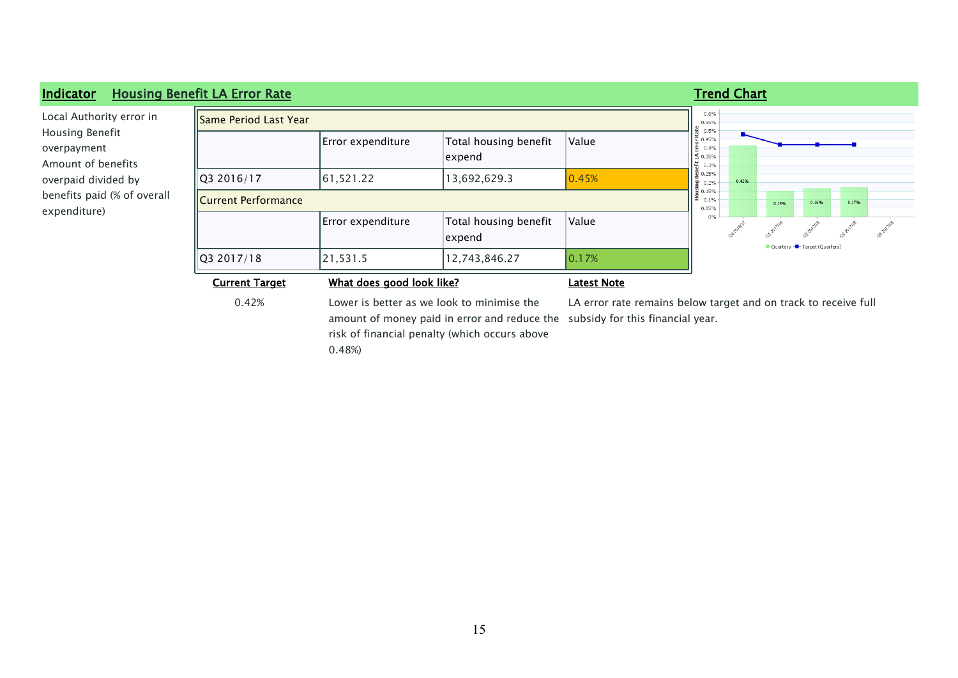### **Indicator Housing Benefit LA Error Rate Trend Chart Trend Chart Trend Chart Trend Chart**  $0.6\%$ Local Authority error in Same Period Last Year  $0.55%$ de 0.5%<br> **E** 0.45%<br> **E** 0.4%<br> **E** 0.35% Housing Benefit  $\vert$ Error expenditure  $\vert$ Total housing benefit Value overpayment expend Amount of benefits 릏 0.3%  $\frac{2}{9}$  0.25%  $\overline{Q}$ 3 2016/17  $\overline{61,521.22}$  13,692,629.3  $\overline{0.45\%}$ overpaid divided by ⊞<br>몯 0.2%  $0.42%$  $0.15\%$ benefits paid (% of overall Current Performance  $0.1%$  $0.17%$ 0.15%  $0.16%$  $0.05%$ expenditure)  $0\%$  $\vert$ Error expenditure  $\vert$ Total housing benefit Value ch 2017/18 or-pulle expend Quarters -<sup>1</sup>- Target (Quarters)  $\overline{Q}$ 3 2017/18  $\overline{21,531.5}$  12,743,846.27  $\overline{0.17\%}$ **Current Target What does good look like? Latest Note** 0.42% Lower is better as we look to minimise the LA error rate remains below target and on track to receive full amount of money paid in error and reduce the subsidy for this financial year.

risk of financial penalty (which occurs above

0.48%)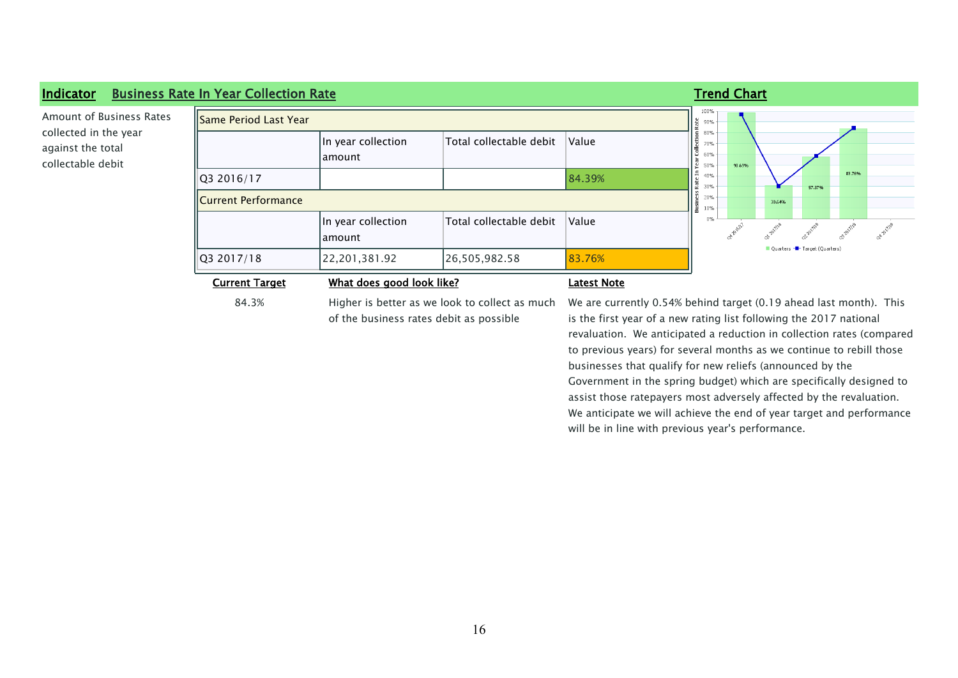### **Indicator Business Rate**

Amount of Business Rates collected in the year against the total collectable debit

| ite In Year Collection Rate  |                               |                         |        |                                              | Trend Chart |        |                              |        |  |
|------------------------------|-------------------------------|-------------------------|--------|----------------------------------------------|-------------|--------|------------------------------|--------|--|
| Same Period Last Year!       |                               |                         |        | 100%<br>90%<br>$\dot{\alpha}$                |             |        |                              |        |  |
|                              | In year collection<br>lamount | Total collectable debit | Value  | 80%<br>, Eion<br>70%<br>Ğ<br>60%<br>50%<br>ு | 98.69%      |        |                              |        |  |
| Q3 2016/17                   |                               |                         | 84.39% | ۱s<br>40%<br><sup>1</sup> ate<br>30%         |             |        | 57.37%                       | 83.76% |  |
| <b>I</b> Current Performance |                               |                         |        | 20%<br>10%<br>ã                              |             | 30.64% |                              |        |  |
|                              | In year collection<br> amount | Total collectable debit | Value  | $0\%$                                        |             |        |                              | $-20$  |  |
| Q3 2017/18                   | 22,201,381.92                 | 26,505,982.58           | 83.76% |                                              |             |        | Quarters - Target (Quarters) |        |  |

**Current Target What does good look like? Latest Note**

84.3% Higher is better as we look to collect as much of the business rates debit as possible

We are currently 0.54% behind target (0.19 ahead last month). This is the first year of a new rating list following the 2017 national revaluation. We anticipated a reduction in collection rates (compared to previous years) for several months as we continue to rebill those businesses that qualify for new reliefs (announced by the Government in the spring budget) which are specifically designed to assist those ratepayers most adversely affected by the revaluation. We anticipate we will achieve the end of year target and performance will be in line with previous year's performance.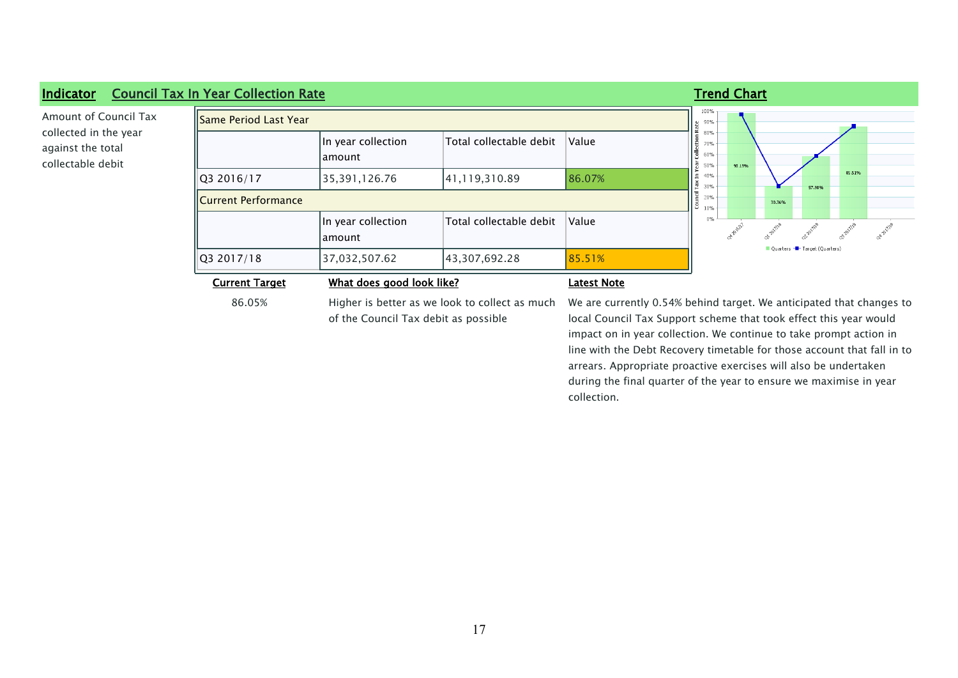### **Indicator Council Tax**

Amount of Council Tax collected in the year against the total collectable debit

| In Year Collection Rate !     |                                                 |                         |        |                      |                                     |        |                              |        |  |
|-------------------------------|-------------------------------------------------|-------------------------|--------|----------------------|-------------------------------------|--------|------------------------------|--------|--|
| <b>ISame Period Last Year</b> |                                                 |                         |        | 쁲                    | 100%<br>90%                         |        |                              |        |  |
|                               | In year collection<br> amount                   | Total collectable debit | Value  | $\alpha$<br>ιê<br>İš | 80%<br>70%<br>60%<br>50%<br>98.1996 |        |                              |        |  |
| Q3 2016/17                    | 35,391,126.76                                   | 41,119,310.89           | 86.07% | Tax In               | 40%<br>30%                          |        | 57.98%                       | 85.51% |  |
| <b>I</b> Current Performance  |                                                 |                         |        | Council              | 20%<br>10%                          | 30.36% |                              |        |  |
|                               | In year collection<br>lamount                   | Total collectable debit | Value  |                      | 0%                                  |        |                              |        |  |
| Q3 2017/18                    | 37,032,507.62                                   | 43,307,692.28           | 85.51% |                      |                                     |        | Quarters - Target (Quarters) |        |  |
| <b>Current Target</b>         | What does good look like?<br><b>Latest Note</b> |                         |        |                      |                                     |        |                              |        |  |

of the Council Tax debit as possible

86.05% Higher is better as we look to collect as much We are currently 0.54% behind target. We anticipated that changes to local Council Tax Support scheme that took effect this year would impact on in year collection. We continue to take prompt action in line with the Debt Recovery timetable for those account that fall in to arrears. Appropriate proactive exercises will also be undertaken during the final quarter of the year to ensure we maximise in year collection.